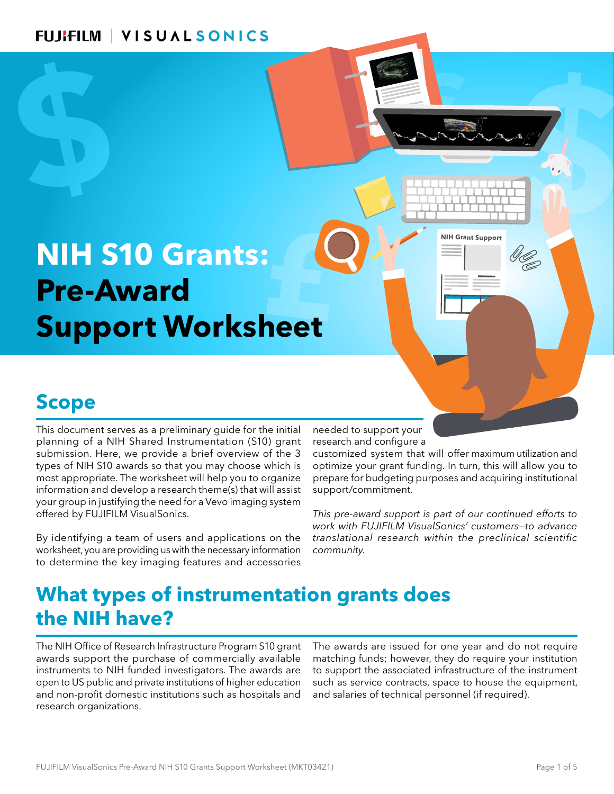# **£ NIH S10 Grants: Pre-Award Support Worksheet**

# **Scope**

**e**<br> **e**nt serves as a pr<br> **f** a NIH Shared I<br>
. Here, we provident **.**<br>*<u>a i s***<sub></sub>** *s***<sup>** *i***</sup></sub>**</u> This document serves as a preliminary guide for the initial planning of a NIH Shared Instrumentation (S10) grant submission. Here, we provide a brief overview of the 3 types of NIH S10 awards so that you may choose which is most appropriate. The worksheet will help you to organize information and develop a research theme(s) that will assist your group in justifying the need for a Vevo imaging system offered by FUJIFILM VisualSonics.

By identifying a team of users and applications on the worksheet, you are providing us with the necessary information to determine the key imaging features and accessories

needed to support your research and configure a

**\$ \$ \$**

**Expansion Contract Contract Contract Contract Contract Contract Contract Contract Contract Contract Contract Contract Contract Contract Contract Contract Contract Contract Contract Contract Contract Contract Contract Cont**  optimize your grant funding. In turn, this will allow you to customized system that will offer maximum utilization and prepare for budgeting purposes and acquiring institutional support/commitment.

€

**NIH Grant Support**

*This pre-award support is part of our continued efforts to work with FUJIFILM VisualSonics' customers—to advance translational research within the preclinical scientific community.*

# **What types of instrumentation grants does the NIH have?**

The NIH Office of Research Infrastructure Program S10 grant awards support the purchase of commercially available instruments to NIH funded investigators. The awards are open to US public and private institutions of higher education and non-profit domestic institutions such as hospitals and research organizations.

The awards are issued for one year and do not require matching funds; however, they do require your institution to support the associated infrastructure of the instrument such as service contracts, space to house the equipment, and salaries of technical personnel (if required).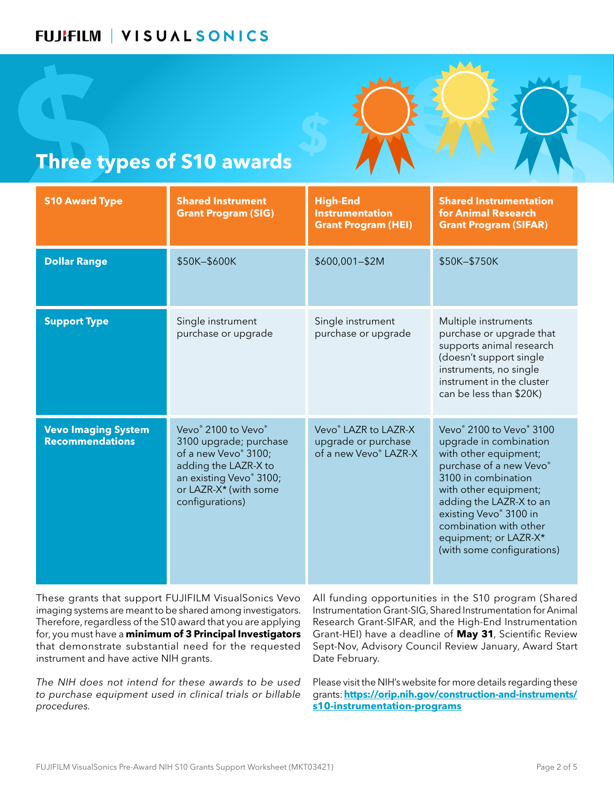

### **Three types of S10 awards**

| <b>Three types of S10 awards</b>                     |                                                                                                                                                                      |                                                                                  |                                                                                                                                                                                                                                                                                                                      |  |  |  |  |  |
|------------------------------------------------------|----------------------------------------------------------------------------------------------------------------------------------------------------------------------|----------------------------------------------------------------------------------|----------------------------------------------------------------------------------------------------------------------------------------------------------------------------------------------------------------------------------------------------------------------------------------------------------------------|--|--|--|--|--|
| <b>S10 Award Type</b>                                | <b>Shared Instrument</b><br><b>Grant Program (SIG)</b>                                                                                                               | <b>High-End</b><br><b>Instrumentation</b><br><b>Grant Program (HEI)</b>          | <b>Shared Instrumentation</b><br>for Animal Research<br><b>Grant Program (SIFAR)</b>                                                                                                                                                                                                                                 |  |  |  |  |  |
| <b>Dollar Range</b>                                  | \$50K-\$600K                                                                                                                                                         | \$600,001-\$2M                                                                   | \$50K-\$750K                                                                                                                                                                                                                                                                                                         |  |  |  |  |  |
| <b>Support Type</b>                                  | Single instrument<br>purchase or upgrade                                                                                                                             | Single instrument<br>purchase or upgrade                                         | Multiple instruments<br>purchase or upgrade that<br>supports animal research<br>(doesn't support single<br>instruments, no single<br>instrument in the cluster<br>can be less than \$20K)                                                                                                                            |  |  |  |  |  |
| <b>Vevo Imaging System</b><br><b>Recommendations</b> | Vevo® 2100 to Vevo®<br>3100 upgrade; purchase<br>of a new Vevo® 3100;<br>adding the LAZR-X to<br>an existing Vevo® 3100;<br>or LAZR-X* (with some<br>configurations) | Vevo <sup>®</sup> LAZR to LAZR-X<br>upgrade or purchase<br>of a new Vevo® LAZR-X | Vevo <sup>®</sup> 2100 to Vevo <sup>®</sup> 3100<br>upgrade in combination<br>with other equipment;<br>purchase of a new Vevo®<br>3100 in combination<br>with other equipment;<br>adding the LAZR-X to an<br>existing Vevo® 3100 in<br>combination with other<br>equipment; or LAZR-X*<br>(with some configurations) |  |  |  |  |  |

These grants that support FUJIFILM VisualSonics Vevo imaging systems are meant to be shared among investigators. Therefore, regardless of the S10 award that you are applying for, you must have a **minimum of 3 Principal Investigators**  that demonstrate substantial need for the requested instrument and have active NIH grants.

*The NIH does not intend for these awards to be used to purchase equipment used in clinical trials or billable procedures.*

All funding opportunities in the S10 program (Shared Instrumentation Grant-SIG, Shared Instrumentation for Animal Research Grant-SIFAR, and the High-End Instrumentation Grant-HEI) have a deadline of **May 31**, Scientific Review Sept-Nov, Advisory Council Review January, Award Start Date February.

Please visit the NIH's website for more details regarding these grants: **[https://orip.nih.gov/construction-and-instruments/](https://orip.nih.gov/construction-and-instruments/s10-instrumentation-programs) [s10-instrumentation-programs](https://orip.nih.gov/construction-and-instruments/s10-instrumentation-programs)**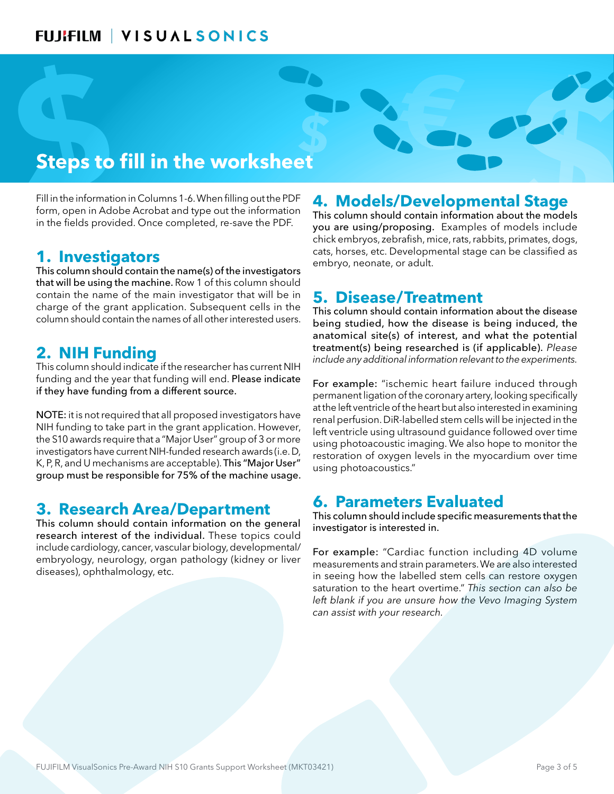## **Steps to fill in the worksheet**

**\$ \$ \$** Fill in the information in Columns 1-6. When filling out the PDF form, open in Adobe Acrobat and type out the information in the fields provided. Once completed, re-save the PDF.

#### **1. Investigators**

chick e<br>cats, h<br>estigators<br>in should<br>will be in<br>lls in the<br>ted users.<br>heing This column should contain the name(s) of the investigators that will be using the machine. Row 1 of this column should contain the name of the main investigator that will be in charge of the grant application. Subsequent cells in the column should contain the names of all other interested users.

#### **2. NIH Funding**

rcher has curre<br>end. **Please ir<br>ource.**<br>ed investigato<br>pplication. Ho This column should indicate if the researcher has current NIH funding and the year that funding will end. Please indicate

Friending and the year that funding will end. They have funding from a different source.<br> **NOTE:** it is not required that all proposed inversion.<br>
NIH funding to take part in the grant applicar<br>
the S10 awards require that NOTE: it is not required that all proposed investigators have NIH funding to take part in the grant application. However, the S10 awards require that a "Major User" group of 3 or more investigators have current NIH-funded research awards (i.e. D, K, P, R, and U mechanisms are acceptable). This "Major User" group must be responsible for 75% of the machine usage.

#### **3. Research Area/Department**

This column should contain information on the general research interest of the individual. These topics could include cardiology, cancer, vascular biology, developmental/ embryology, neurology, organ pathology (kidney or liver diseases), ophthalmology, etc.

#### **4. Models/Developmental Stage**

**€**

This column should contain information about the models you are using/proposing. Examples of models include chick embryos, zebrafish, mice, rats, rabbits, primates, dogs, cats, horses, etc. Developmental stage can be classified as embryo, neonate, or adult.

#### **5. Disease/Treatment**

This column should contain information about the disease being studied, how the disease is being induced, the anatomical site(s) of interest, and what the potential treatment(s) being researched is (if applicable). *Please include any additional information relevant to the experiments.*

se is being induced, the<br>and what the potential<br>is (if applicable). Please<br>relevant to the experiments.<br>failure induced through<br>y artery, looking specifically<br>also interested in examining<br>in cells will be injected in the<br>i For example: "ischemic heart failure induced through permanent ligation of the coronary artery, looking specifically at the left ventricle of the heart but also interested in examining renal perfusion. DiR-labelled stem cells will be injected in the left ventricle using ultrasound guidance followed over time using photoacoustic imaging. We also hope to monitor the restoration of oxygen levels in the myocardium over time using photoacoustics."

#### **6. Parameters Evaluated**

This column should include specific measurements that the investigator is interested in.

For example: "Cardiac function including 4D volume measurements and strain parameters. We are also interested in seeing how the labelled stem cells can restore oxygen saturation to the heart overtime." *This section can also be left blank if you are unsure how the Vevo Imaging System can assist with your research.*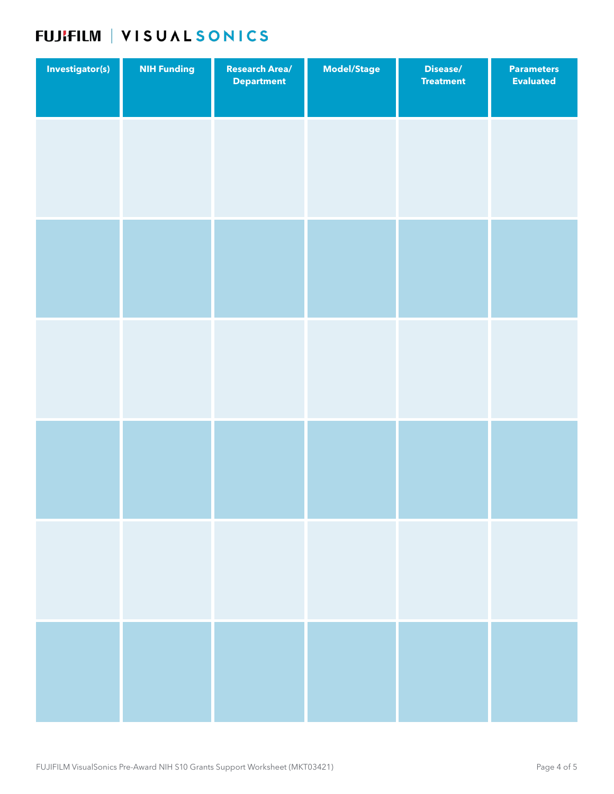### FUJIFILM | VISUAL SONICS

| Investigator(s) | <b>NIH Funding</b> | <b>Research Area/</b><br><b>Department</b> | Model/Stage | Disease/<br><b>Treatment</b> | <b>Parameters</b><br><b>Evaluated</b> |
|-----------------|--------------------|--------------------------------------------|-------------|------------------------------|---------------------------------------|
|                 |                    |                                            |             |                              |                                       |
|                 |                    |                                            |             |                              |                                       |
|                 |                    |                                            |             |                              |                                       |
|                 |                    |                                            |             |                              |                                       |
|                 |                    |                                            |             |                              |                                       |
|                 |                    |                                            |             |                              |                                       |
|                 |                    |                                            |             |                              |                                       |
|                 |                    |                                            |             |                              |                                       |
|                 |                    |                                            |             |                              |                                       |
|                 |                    |                                            |             |                              |                                       |
|                 |                    |                                            |             |                              |                                       |
|                 |                    |                                            |             |                              |                                       |